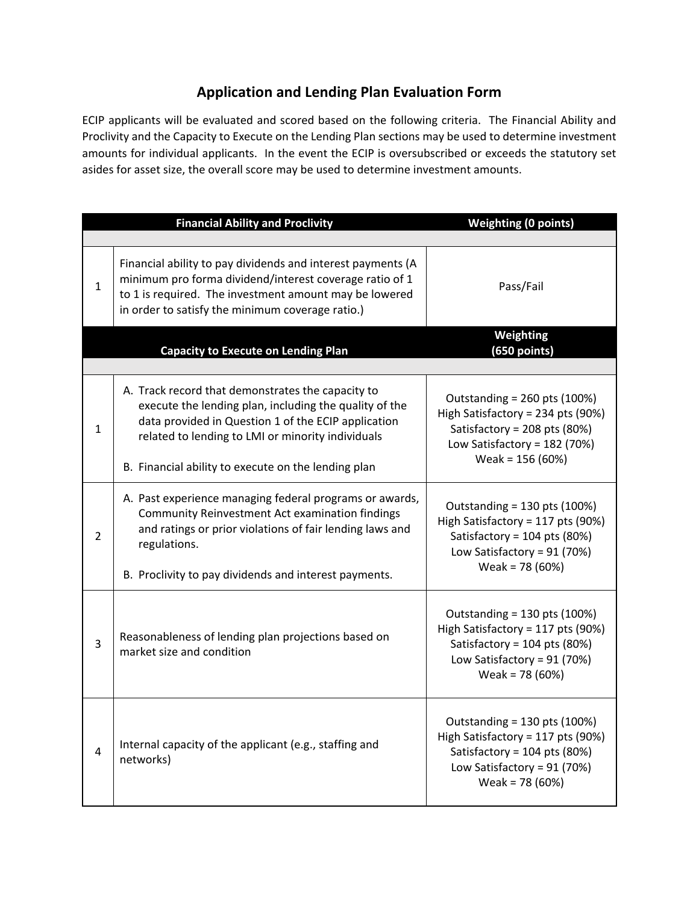## **Application and Lending Plan Evaluation Form**

ECIP applicants will be evaluated and scored based on the following criteria. The Financial Ability and Proclivity and the Capacity to Execute on the Lending Plan sections may be used to determine investment amounts for individual applicants. In the event the ECIP is oversubscribed or exceeds the statutory set asides for asset size, the overall score may be used to determine investment amounts.

|                | <b>Financial Ability and Proclivity</b>                                                                                                                                                                                                                                        | <b>Weighting (0 points)</b>                                                                                                                               |
|----------------|--------------------------------------------------------------------------------------------------------------------------------------------------------------------------------------------------------------------------------------------------------------------------------|-----------------------------------------------------------------------------------------------------------------------------------------------------------|
| 1              | Financial ability to pay dividends and interest payments (A<br>minimum pro forma dividend/interest coverage ratio of 1<br>to 1 is required. The investment amount may be lowered<br>in order to satisfy the minimum coverage ratio.)                                           | Pass/Fail                                                                                                                                                 |
|                | <b>Capacity to Execute on Lending Plan</b>                                                                                                                                                                                                                                     | Weighting<br>$(650$ points)                                                                                                                               |
| 1              | A. Track record that demonstrates the capacity to<br>execute the lending plan, including the quality of the<br>data provided in Question 1 of the ECIP application<br>related to lending to LMI or minority individuals<br>B. Financial ability to execute on the lending plan | Outstanding = $260$ pts (100%)<br>High Satisfactory = 234 pts (90%)<br>Satisfactory = 208 pts (80%)<br>Low Satisfactory = $182$ (70%)<br>Weak = 156 (60%) |
| $\overline{2}$ | A. Past experience managing federal programs or awards,<br>Community Reinvestment Act examination findings<br>and ratings or prior violations of fair lending laws and<br>regulations.<br>B. Proclivity to pay dividends and interest payments.                                | Outstanding = 130 pts (100%)<br>High Satisfactory = 117 pts (90%)<br>Satisfactory = 104 pts (80%)<br>Low Satisfactory = $91$ (70%)<br>Weak = 78 (60%)     |
| 3              | Reasonableness of lending plan projections based on<br>market size and condition                                                                                                                                                                                               | Outstanding = 130 pts (100%)<br>High Satisfactory = 117 pts (90%)<br>Satisfactory = 104 pts (80%)<br>Low Satisfactory = $91$ (70%)<br>Weak = 78 (60%)     |
| 4              | Internal capacity of the applicant (e.g., staffing and<br>networks)                                                                                                                                                                                                            | Outstanding = 130 pts (100%)<br>High Satisfactory = 117 pts (90%)<br>Satisfactory = 104 pts (80%)<br>Low Satisfactory = $91$ (70%)<br>Weak = $78(60%)$    |